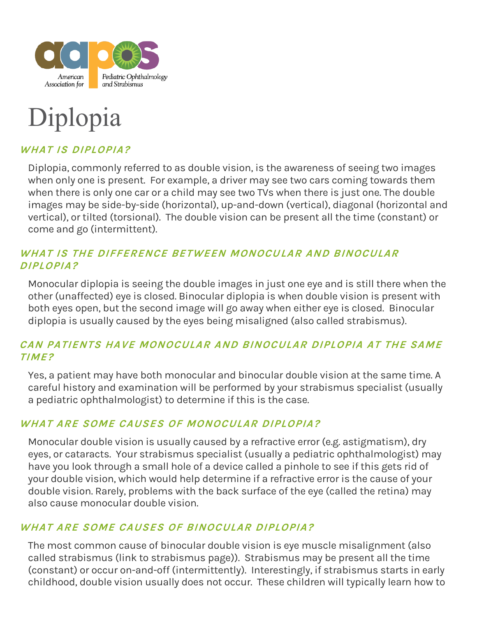

# Diplopia

# **WHAT IS DIPLOPIA?**

Diplopia, commonly referred to as double vision, is the awareness of seeing two images when only one is present. For example, a driver may see two cars coming towards them when there is only one car or a child may see two TVs when there is just one. The double images may be side-by-side (horizontal), up-and-down (vertical), diagonal (horizontal and vertical), or tilted (torsional). The double vision can be present all the time (constant) or come and go (intermittent).

## **WHAT IS THE DIFFERENCE BETWEEN MONOCULAR AND BINOCULAR DIPLOPIA?**

Monocular diplopia is seeing the double images in just one eye and is still there when the other (unaffected) eye is closed. Binocular diplopia is when double vision is present with both eyes open, but the second image will go away when either eye is closed. Binocular diplopia is usually caused by the eyes being misaligned (also called strabismus).

## **CAN PATIENTS HAVE MONOCULAR AND BINOCULAR DIPLOPIA AT THE SAME TIME?**

Yes, a patient may have both monocular and binocular double vision at the same time. A careful history and examination will be performed by your strabismus specialist (usually a pediatric ophthalmologist) to determine if this is the case.

#### **WHAT ARE SOME CAUSES OF MONOCULAR DIPLOPIA?**

Monocular double vision is usually caused by a refractive error (e.g. astigmatism), dry eyes, or cataracts. Your strabismus specialist (usually a pediatric ophthalmologist) may have you look through a small hole of a device called a pinhole to see if this gets rid of your double vision, which would help determine if a refractive error is the cause of your double vision. Rarely, problems with the back surface of the eye (called the retina) may also cause monocular double vision.

## **WHAT ARE SOME CAUSES OF BINOCULAR DIPLOPIA?**

The most common cause of binocular double vision is eye muscle misalignment (also called strabismus (link to strabismus page)). Strabismus may be present all the time (constant) or occur on-and-off (intermittently). Interestingly, if strabismus starts in early childhood, double vision usually does not occur. These children will typically learn how to